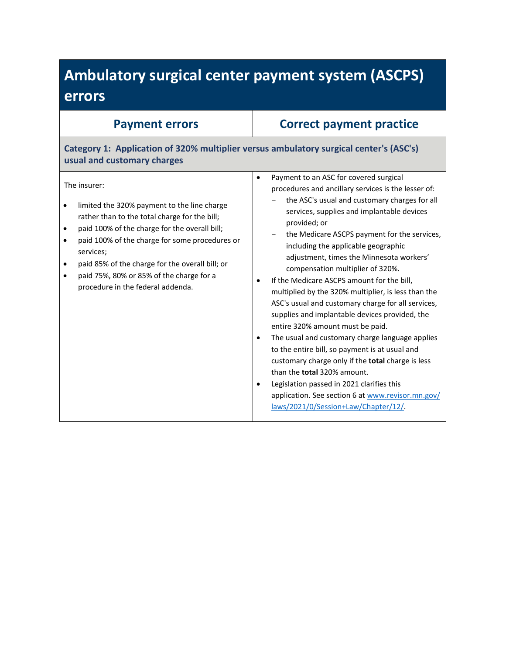# **Ambulatory surgical center payment system (ASCPS) errors**

| <b>Payment errors</b>                                                                                                                                                                                                                                                                                                                                                                                                             | <b>Correct payment practice</b>                                                                                                                                                                                                                                                                                                                                                                                                                                                                                                                                                                                                                                                                                                                                                                                                                                                                                                                                                                 |
|-----------------------------------------------------------------------------------------------------------------------------------------------------------------------------------------------------------------------------------------------------------------------------------------------------------------------------------------------------------------------------------------------------------------------------------|-------------------------------------------------------------------------------------------------------------------------------------------------------------------------------------------------------------------------------------------------------------------------------------------------------------------------------------------------------------------------------------------------------------------------------------------------------------------------------------------------------------------------------------------------------------------------------------------------------------------------------------------------------------------------------------------------------------------------------------------------------------------------------------------------------------------------------------------------------------------------------------------------------------------------------------------------------------------------------------------------|
| Category 1: Application of 320% multiplier versus ambulatory surgical center's (ASC's)<br>usual and customary charges                                                                                                                                                                                                                                                                                                             |                                                                                                                                                                                                                                                                                                                                                                                                                                                                                                                                                                                                                                                                                                                                                                                                                                                                                                                                                                                                 |
| The insurer:<br>limited the 320% payment to the line charge<br>$\bullet$<br>rather than to the total charge for the bill;<br>paid 100% of the charge for the overall bill;<br>$\bullet$<br>paid 100% of the charge for some procedures or<br>$\bullet$<br>services;<br>paid 85% of the charge for the overall bill; or<br>$\bullet$<br>paid 75%, 80% or 85% of the charge for a<br>$\bullet$<br>procedure in the federal addenda. | Payment to an ASC for covered surgical<br>$\bullet$<br>procedures and ancillary services is the lesser of:<br>the ASC's usual and customary charges for all<br>services, supplies and implantable devices<br>provided; or<br>the Medicare ASCPS payment for the services,<br>including the applicable geographic<br>adjustment, times the Minnesota workers'<br>compensation multiplier of 320%.<br>If the Medicare ASCPS amount for the bill,<br>multiplied by the 320% multiplier, is less than the<br>ASC's usual and customary charge for all services,<br>supplies and implantable devices provided, the<br>entire 320% amount must be paid.<br>The usual and customary charge language applies<br>٠<br>to the entire bill, so payment is at usual and<br>customary charge only if the total charge is less<br>than the <b>total</b> 320% amount.<br>Legislation passed in 2021 clarifies this<br>application. See section 6 at www.revisor.mn.gov/<br>laws/2021/0/Session+Law/Chapter/12/ |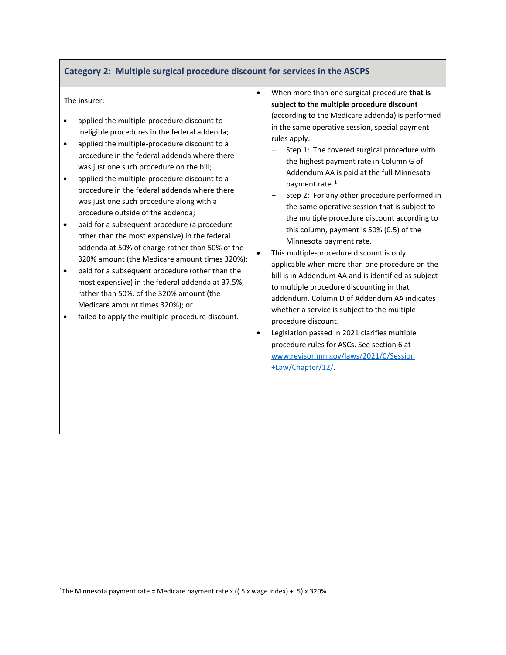## **Category 2: Multiple surgical procedure discount for services in the ASCPS**

#### The insurer:

- applied the multiple-procedure discount to ineligible procedures in the federal addenda;
- applied the multiple-procedure discount to a procedure in the federal addenda where there was just one such procedure on the bill;
- applied the multiple-procedure discount to a procedure in the federal addenda where there was just one such procedure along with a procedure outside of the addenda;
- paid for a subsequent procedure (a procedure other than the most expensive) in the federal addenda at 50% of charge rather than 50% of the 320% amount (the Medicare amount times 320%);
- paid for a subsequent procedure (other than the most expensive) in the federal addenda at 37.5%, rather than 50%, of the 320% amount (the Medicare amount times 320%); or
- <span id="page-1-0"></span>• failed to apply the multiple-procedure discount.
- When more than one surgical procedure **that is subject to the multiple procedure discount** (according to the Medicare addenda) is performed in the same operative session, special payment rules apply.
	- Step 1: The covered surgical procedure with the highest payment rate in Column G of Addendum AA is paid at the full Minnesota payment rate.<sup>[1](#page-1-0)</sup>
	- Step 2: For any other procedure performed in the same operative session that is subject to the multiple procedure discount according to this column, payment is 50% (0.5) of the Minnesota payment rate.
- This multiple-procedure discount is only applicable when more than one procedure on the bill is in Addendum AA and is identified as subject to multiple procedure discounting in that addendum. Column D of Addendum AA indicates whether a service is subject to the multiple procedure discount.
- Legislation passed in 2021 clarifies multiple procedure rules for ASCs. See section 6 at [www.revisor.mn.gov/laws/2021/0/Session](http://www.revisor.mn.gov/laws/2021/0/Session+Law/Chapter/12/) [+Law/Chapter/12/.](http://www.revisor.mn.gov/laws/2021/0/Session+Law/Chapter/12/)